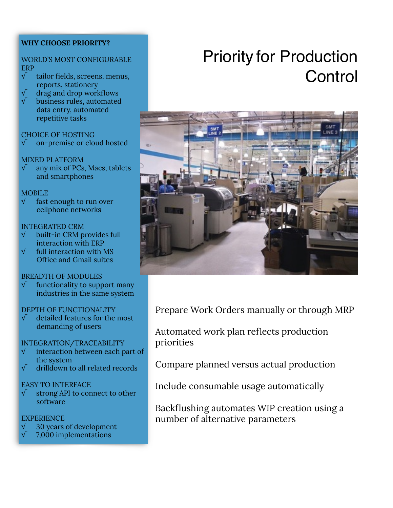## **WHY CHOOSE PRIORITY?**

#### WORLD'S MOST CONFIGURABLE ERP

- √ tailor fields, screens, menus, reports, stationery
- √ drag and drop workflows
- √ business rules, automated data entry, automated repetitive tasks

#### CHOICE OF HOSTING

√ on-premise or cloud hosted

#### MIXED PLATFORM

 $\sqrt{\phantom{a}}$  any mix of PCs, Macs, tablets and smartphones

#### **MOBILE**

 $\sqrt{\phantom{a}}$  fast enough to run over cellphone networks

#### INTEGRATED CRM

- √ built-in CRM provides full interaction with ERP
- full interaction with MS Office and Gmail suites

## BREADTH OF MODULES

 $\sqrt{\phantom{a}}$  functionality to support many industries in the same system

#### DEPTH OF FUNCTIONALITY

 $\sqrt{\phantom{a}}$  detailed features for the most demanding of users

#### INTEGRATION/TRACEABILITY

- √ interaction between each part of the system
- √ drilldown to all related records

## EASY TO INTERFACE

√ strong API to connect to other software

#### **EXPERIENCE**

- √ 30 years of development
- √ 7,000 implementations

# Priority for Production **Control**



Prepare Work Orders manually or through MRP

Automated work plan reflects production priorities

Compare planned versus actual production

Include consumable usage automatically

Backflushing automates WIP creation using a number of alternative parameters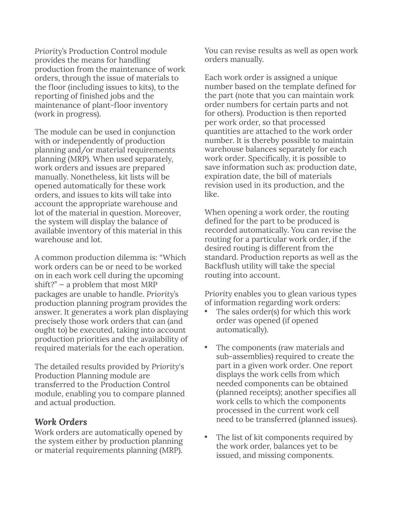*Priority*'s Production Control module provides the means for handling production from the maintenance of work orders, through the issue of materials to the floor (including issues to kits), to the reporting of finished jobs and the maintenance of plant-floor inventory (work in progress).

The module can be used in conjunction with or independently of production planning and/or material requirements planning (MRP). When used separately, work orders and issues are prepared manually. Nonetheless, kit lists will be opened automatically for these work orders, and issues to kits will take into account the appropriate warehouse and lot of the material in question. Moreover, the system will display the balance of available inventory of this material in this warehouse and lot.

A common production dilemma is: "Which work orders can be or need to be worked on in each work cell during the upcoming shift?" — a problem that most MRP packages are unable to handle. *Priority*'s production planning program provides the answer. It generates a work plan displaying precisely those work orders that can (and ought to) be executed, taking into account production priorities and the availability of required materials for the each operation.

The detailed results provided by *Priority*'s Production Planning module are transferred to the Production Control module, enabling you to compare planned and actual production.

# *Work Orders*

Work orders are automatically opened by the system either by production planning or material requirements planning (MRP).

You can revise results as well as open work orders manually.

Each work order is assigned a unique number based on the template defined for the part (note that you can maintain work order numbers for certain parts and not for others). Production is then reported per work order, so that processed quantities are attached to the work order number. It is thereby possible to maintain warehouse balances separately for each work order. Specifically, it is possible to save information such as: production date, expiration date, the bill of materials revision used in its production, and the like.

When opening a work order, the routing defined for the part to be produced is recorded automatically. You can revise the routing for a particular work order, if the desired routing is different from the standard. Production reports as well as the Backflush utility will take the special routing into account.

*Priority* enables you to glean various types of information regarding work orders:

- The sales order(s) for which this work order was opened (if opened automatically).
- The components (raw materials and sub-assemblies) required to create the part in a given work order. One report displays the work cells from which needed components can be obtained (planned receipts); another specifies all work cells to which the components processed in the current work cell need to be transferred (planned issues).
- The list of kit components required by the work order, balances yet to be issued, and missing components.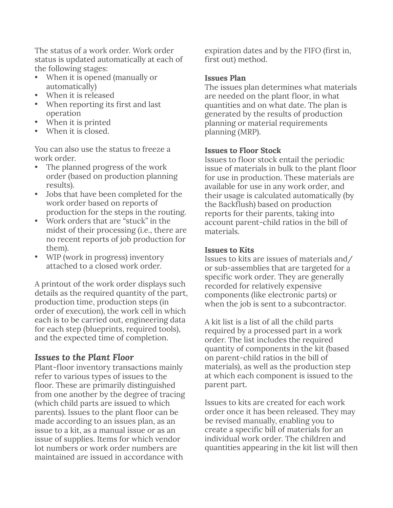The status of a work order. Work order status is updated automatically at each of the following stages:

- When it is opened (manually or automatically)
- When it is released
- When reporting its first and last operation
- When it is printed
- When it is closed.

You can also use the status to freeze a work order.

- The planned progress of the work order (based on production planning results).
- Jobs that have been completed for the work order based on reports of production for the steps in the routing.
- Work orders that are "stuck" in the midst of their processing (i.e., there are no recent reports of job production for them).
- WIP (work in progress) inventory attached to a closed work order.

A printout of the work order displays such details as the required quantity of the part, production time, production steps (in order of execution), the work cell in which each is to be carried out, engineering data for each step (blueprints, required tools), and the expected time of completion.

# *Issues to the Plant Floor*

Plant-floor inventory transactions mainly refer to various types of issues to the floor. These are primarily distinguished from one another by the degree of tracing (which child parts are issued to which parents). Issues to the plant floor can be made according to an issues plan, as an issue to a kit, as a manual issue or as an issue of supplies. Items for which vendor lot numbers or work order numbers are maintained are issued in accordance with

expiration dates and by the FIFO (first in, first out) method.

# **Issues Plan**

The issues plan determines what materials are needed on the plant floor, in what quantities and on what date. The plan is generated by the results of production planning or material requirements planning (MRP).

## **Issues to Floor Stock**

Issues to floor stock entail the periodic issue of materials in bulk to the plant floor for use in production. These materials are available for use in any work order, and their usage is calculated automatically (by the Backflush) based on production reports for their parents, taking into account parent-child ratios in the bill of materials.

# **Issues to Kits**

Issues to kits are issues of materials and/ or sub-assemblies that are targeted for a specific work order. They are generally recorded for relatively expensive components (like electronic parts) or when the job is sent to a subcontractor.

A kit list is a list of all the child parts required by a processed part in a work order. The list includes the required quantity of components in the kit (based on parent-child ratios in the bill of materials), as well as the production step at which each component is issued to the parent part.

Issues to kits are created for each work order once it has been released. They may be revised manually, enabling you to create a specific bill of materials for an individual work order. The children and quantities appearing in the kit list will then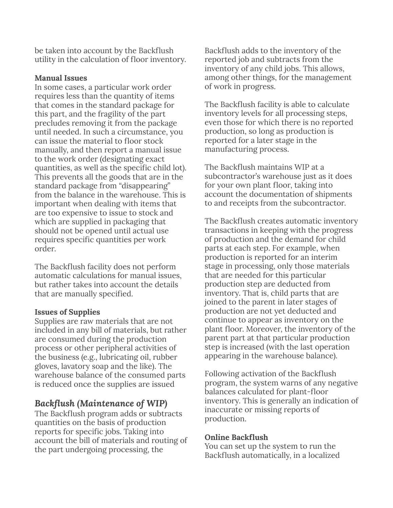be taken into account by the Backflush utility in the calculation of floor inventory.

#### **Manual Issues**

In some cases, a particular work order requires less than the quantity of items that comes in the standard package for this part, and the fragility of the part precludes removing it from the package until needed. In such a circumstance, you can issue the material to floor stock manually, and then report a manual issue to the work order (designating exact quantities, as well as the specific child lot). This prevents all the goods that are in the standard package from "disappearing" from the balance in the warehouse. This is important when dealing with items that are too expensive to issue to stock and which are supplied in packaging that should not be opened until actual use requires specific quantities per work order.

The Backflush facility does not perform automatic calculations for manual issues, but rather takes into account the details that are manually specified.

## **Issues of Supplies**

Supplies are raw materials that are not included in any bill of materials, but rather are consumed during the production process or other peripheral activities of the business (e.g., lubricating oil, rubber gloves, lavatory soap and the like). The warehouse balance of the consumed parts is reduced once the supplies are issued

# *Backflush (Maintenance of WIP)*

The Backflush program adds or subtracts quantities on the basis of production reports for specific jobs. Taking into account the bill of materials and routing of the part undergoing processing, the

Backflush adds to the inventory of the reported job and subtracts from the inventory of any child jobs. This allows, among other things, for the management of work in progress.

The Backflush facility is able to calculate inventory levels for all processing steps, even those for which there is no reported production, so long as production is reported for a later stage in the manufacturing process.

The Backflush maintains WIP at a subcontractor's warehouse just as it does for your own plant floor, taking into account the documentation of shipments to and receipts from the subcontractor.

The Backflush creates automatic inventory transactions in keeping with the progress of production and the demand for child parts at each step. For example, when production is reported for an interim stage in processing, only those materials that are needed for this particular production step are deducted from inventory. That is, child parts that are joined to the parent in later stages of production are not yet deducted and continue to appear as inventory on the plant floor. Moreover, the inventory of the parent part at that particular production step is increased (with the last operation appearing in the warehouse balance).

Following activation of the Backflush program, the system warns of any negative balances calculated for plant-floor inventory. This is generally an indication of inaccurate or missing reports of production.

## **Online Backflush**

You can set up the system to run the Backflush automatically, in a localized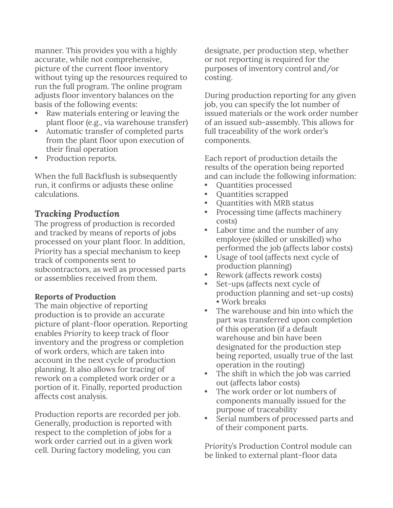manner. This provides you with a highly accurate, while not comprehensive, picture of the current floor inventory without tying up the resources required to run the full program. The online program adjusts floor inventory balances on the basis of the following events:

- Raw materials entering or leaving the plant floor (e.g., via warehouse transfer)
- Automatic transfer of completed parts from the plant floor upon execution of their final operation
- Production reports.

When the full Backflush is subsequently run, it confirms or adjusts these online calculations.

# *Tracking Production*

The progress of production is recorded and tracked by means of reports of jobs processed on your plant floor. In addition, *Priority* has a special mechanism to keep track of components sent to subcontractors, as well as processed parts or assemblies received from them.

# **Reports of Production**

The main objective of reporting production is to provide an accurate picture of plant-floor operation. Reporting enables *Priority* to keep track of floor inventory and the progress or completion of work orders, which are taken into account in the next cycle of production planning. It also allows for tracing of rework on a completed work order or a portion of it. Finally, reported production affects cost analysis.

Production reports are recorded per job. Generally, production is reported with respect to the completion of jobs for a work order carried out in a given work cell. During factory modeling, you can

designate, per production step, whether or not reporting is required for the purposes of inventory control and/or costing.

During production reporting for any given job, you can specify the lot number of issued materials or the work order number of an issued sub-assembly. This allows for full traceability of the work order's components.

Each report of production details the results of the operation being reported and can include the following information:

- Quantities processed
- Quantities scrapped
- Quantities with MRB status
- Processing time (affects machinery costs)
- Labor time and the number of any employee (skilled or unskilled) who performed the job (affects labor costs)
- Usage of tool (affects next cycle of production planning)
- Rework (affects rework costs)
- Set-ups (affects next cycle of production planning and set-up costs) • Work breaks
- The warehouse and bin into which the part was transferred upon completion of this operation (if a default warehouse and bin have been designated for the production step being reported, usually true of the last operation in the routing)
- The shift in which the job was carried out (affects labor costs)
- The work order or lot numbers of components manually issued for the purpose of traceability
- Serial numbers of processed parts and of their component parts.

*Priority*'s Production Control module can be linked to external plant-floor data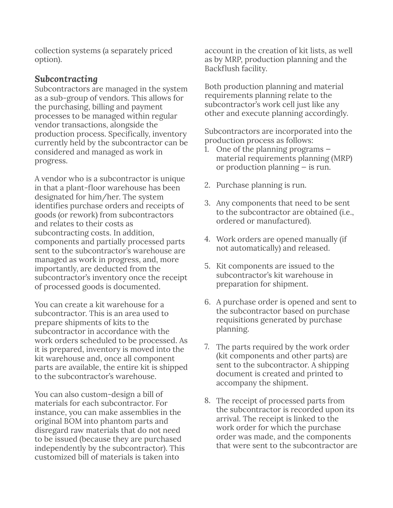collection systems (a separately priced option).

# *Subcontracting*

Subcontractors are managed in the system as a sub-group of vendors. This allows for the purchasing, billing and payment processes to be managed within regular vendor transactions, alongside the production process. Specifically, inventory currently held by the subcontractor can be considered and managed as work in progress.

A vendor who is a subcontractor is unique in that a plant-floor warehouse has been designated for him/her. The system identifies purchase orders and receipts of goods (or rework) from subcontractors and relates to their costs as subcontracting costs. In addition, components and partially processed parts sent to the subcontractor's warehouse are managed as work in progress, and, more importantly, are deducted from the subcontractor's inventory once the receipt of processed goods is documented.

You can create a kit warehouse for a subcontractor. This is an area used to prepare shipments of kits to the subcontractor in accordance with the work orders scheduled to be processed. As it is prepared, inventory is moved into the kit warehouse and, once all component parts are available, the entire kit is shipped to the subcontractor's warehouse.

You can also custom-design a bill of materials for each subcontractor. For instance, you can make assemblies in the original BOM into phantom parts and disregard raw materials that do not need to be issued (because they are purchased independently by the subcontractor). This customized bill of materials is taken into

account in the creation of kit lists, as well as by MRP, production planning and the Backflush facility.

Both production planning and material requirements planning relate to the subcontractor's work cell just like any other and execute planning accordingly.

Subcontractors are incorporated into the production process as follows:

- 1. One of the planning programs material requirements planning (MRP) or production planning — is run.
- 2. Purchase planning is run.
- 3. Any components that need to be sent to the subcontractor are obtained (i.e., ordered or manufactured).
- 4. Work orders are opened manually (if not automatically) and released.
- 5. Kit components are issued to the subcontractor's kit warehouse in preparation for shipment.
- 6. A purchase order is opened and sent to the subcontractor based on purchase requisitions generated by purchase planning.
- 7. The parts required by the work order (kit components and other parts) are sent to the subcontractor. A shipping document is created and printed to accompany the shipment.
- 8. The receipt of processed parts from the subcontractor is recorded upon its arrival. The receipt is linked to the work order for which the purchase order was made, and the components that were sent to the subcontractor are